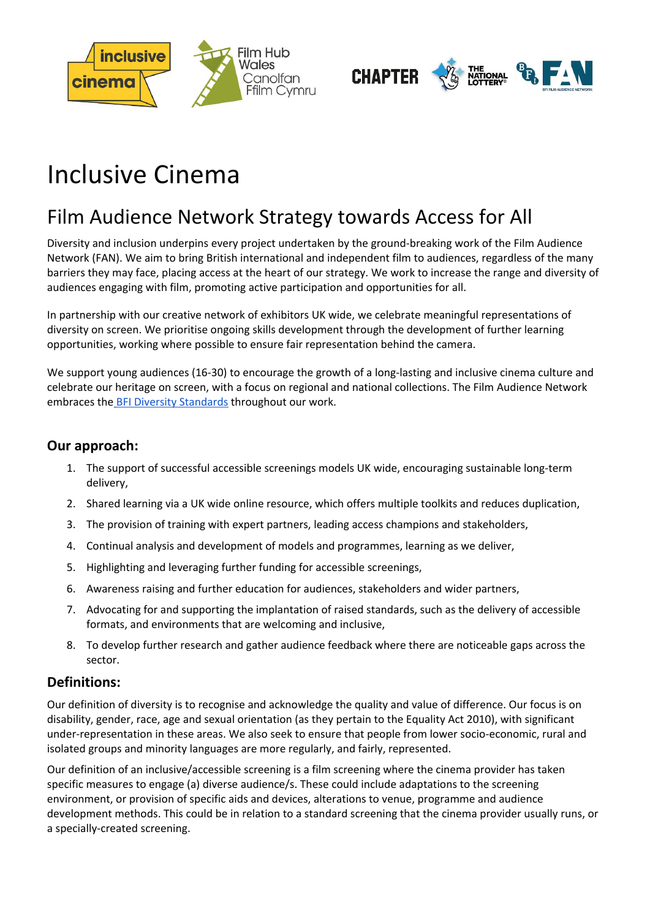



# Inclusive Cinema

# Film Audience Network Strategy towards Access for All

Diversity and inclusion underpins every project undertaken by the ground-breaking work of the Film Audience Network (FAN). We aim to bring British international and independent film to audiences, regardless of the many barriers they may face, placing access at the heart of our strategy. We work to increase the range and diversity of audiences engaging with film, promoting active participation and opportunities for all.

In partnership with our creative network of exhibitors UK wide, we celebrate meaningful representations of diversity on screen. We prioritise ongoing skills development through the development of further learning opportunities, working where possible to ensure fair representation behind the camera.

We support young audiences (16-30) to encourage the growth of a long-lasting and inclusive cinema culture and celebrate our heritage on screen, with a focus on regional and national collections. The Film Audience Network embraces the **[B](http://www.bfi.org.uk/sites/bfi.org.uk/files/downloads/bfi-diversity-standards-leaflet-2016-05-11.pdf)FI Diversity [Standards](http://www.bfi.org.uk/sites/bfi.org.uk/files/downloads/bfi-diversity-standards-leaflet-2016-05-11.pdf)** throughout our work.

#### **Our approach:**

- 1. The support of successful accessible screenings models UK wide, encouraging sustainable long-term delivery,
- 2. Shared learning via a UK wide online resource, which offers multiple toolkits and reduces duplication,
- 3. The provision of training with expert partners, leading access champions and stakeholders,
- 4. Continual analysis and development of models and programmes, learning as we deliver,
- 5. Highlighting and leveraging further funding for accessible screenings,
- 6. Awareness raising and further education for audiences, stakeholders and wider partners,
- 7. Advocating for and supporting the implantation of raised standards, such as the delivery of accessible formats, and environments that are welcoming and inclusive,
- 8. To develop further research and gather audience feedback where there are noticeable gaps across the sector.

#### **Definitions:**

Our definition of diversity is to recognise and acknowledge the quality and value of difference. Our focus is on disability, gender, race, age and sexual orientation (as they pertain to the Equality Act 2010), with significant under-representation in these areas. We also seek to ensure that people from lower socio-economic, rural and isolated groups and minority languages are more regularly, and fairly, represented.

Our definition of an inclusive/accessible screening is a film screening where the cinema provider has taken specific measures to engage (a) diverse audience/s. These could include adaptations to the screening environment, or provision of specific aids and devices, alterations to venue, programme and audience development methods. This could be in relation to a standard screening that the cinema provider usually runs, or a specially-created screening.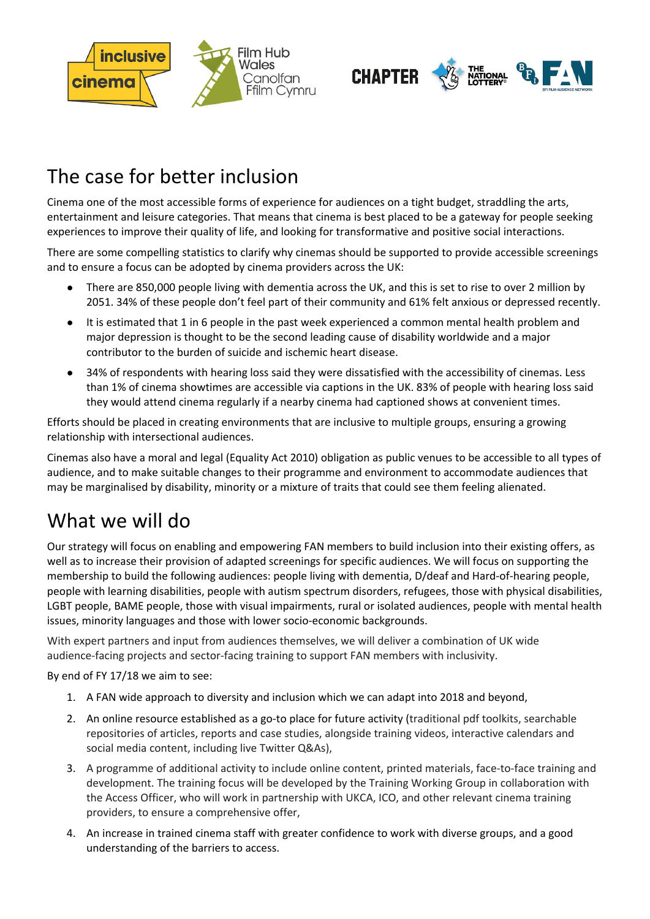



# The case for better inclusion

Cinema one of the most accessible forms of experience for audiences on a tight budget, straddling the arts, entertainment and leisure categories. That means that cinema is best placed to be a gateway for people seeking experiences to improve their quality of life, and looking for transformative and positive social interactions.

There are some compelling statistics to clarify why cinemas should be supported to provide accessible screenings and to ensure a focus can be adopted by cinema providers across the UK:

- There are 850,000 people living with dementia across the UK, and this is set to rise to over 2 million by 2051. 34% of these people don't feel part of their community and 61% felt anxious or depressed recently.
- It is estimated that 1 in 6 people in the past week experienced a common mental health problem and major depression is thought to be the second leading cause of disability worldwide and a major contributor to the burden of suicide and ischemic heart disease.
- 34% of respondents with hearing loss said they were dissatisfied with the accessibility of cinemas. Less than 1% of cinema showtimes are accessible via captions in the UK. 83% of people with hearing loss said they would attend cinema regularly if a nearby cinema had captioned shows at convenient times.

Efforts should be placed in creating environments that are inclusive to multiple groups, ensuring a growing relationship with intersectional audiences.

Cinemas also have a moral and legal (Equality Act 2010) obligation as public venues to be accessible to all types of audience, and to make suitable changes to their programme and environment to accommodate audiences that may be marginalised by disability, minority or a mixture of traits that could see them feeling alienated.

# What we will do

Our strategy will focus on enabling and empowering FAN members to build inclusion into their existing offers, as well as to increase their provision of adapted screenings for specific audiences. We will focus on supporting the membership to build the following audiences: people living with dementia, D/deaf and Hard-of-hearing people, people with learning disabilities, people with autism spectrum disorders, refugees, those with physical disabilities, LGBT people, BAME people, those with visual impairments, rural or isolated audiences, people with mental health issues, minority languages and those with lower socio-economic backgrounds.

With expert partners and input from audiences themselves, we will deliver a combination of UK wide audience-facing projects and sector-facing training to support FAN members with inclusivity.

By end of FY 17/18 we aim to see:

- 1. A FAN wide approach to diversity and inclusion which we can adapt into 2018 and beyond,
- 2. An online resource established as a go-to place for future activity (traditional pdf toolkits, searchable repositories of articles, reports and case studies, alongside training videos, interactive calendars and social media content, including live Twitter Q&As),
- 3. A programme of additional activity to include online content, printed materials, face-to-face training and development. The training focus will be developed by the Training Working Group in collaboration with the Access Officer, who will work in partnership with UKCA, ICO, and other relevant cinema training providers, to ensure a comprehensive offer,
- 4. An increase in trained cinema staff with greater confidence to work with diverse groups, and a good understanding of the barriers to access.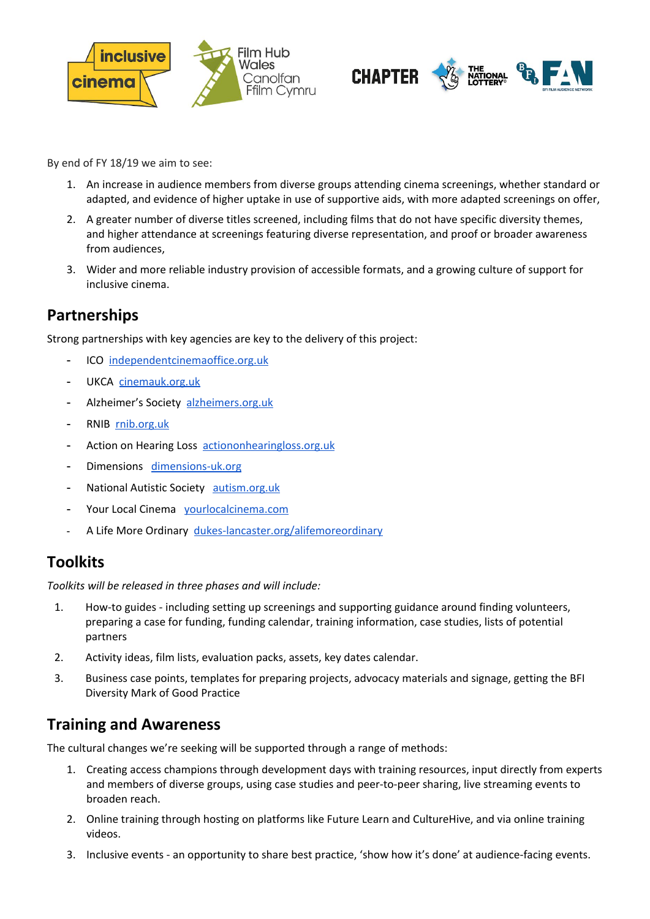



By end of FY 18/19 we aim to see:

- 1. An increase in audience members from diverse groups attending cinema screenings, whether standard or adapted, and evidence of higher uptake in use of supportive aids, with more adapted screenings on offer,
- 2. A greater number of diverse titles screened, including films that do not have specific diversity themes, and higher attendance at screenings featuring diverse representation, and proof or broader awareness from audiences,
- 3. Wider and more reliable industry provision of accessible formats, and a growing culture of support for inclusive cinema.

#### **Partnerships**

Strong partnerships with key agencies are key to the delivery of this project:

- ICO [independentcinemaoffice.org.uk](http://www.independentcinemaoffice.org.uk/)
- UKCA [cinemauk.org.uk](https://www.cinemauk.org.uk/)
- Alzheimer's Society [alzheimers.org.uk](https://www.alzheimers.org.uk/)
- RNIB [rnib.org.uk](http://www.rnib.org.uk/)
- Action on Hearing Loss [actiononhearingloss.org.uk](https://www.actiononhearingloss.org.uk/)
- Dimensions [dimensions-uk.org](https://www.dimensions-uk.org/)
- National Autistic Society [autism.org.uk](http://www.autism.org.uk/)
- Your Local Cinema [yourlocalcinema.com](http://www.yourlocalcinema.com/)
- A Life More Ordinary [dukes-lancaster.org/alifemoreordinary](https://dukes-lancaster.org/alifemoreordinary)

#### **Toolkits**

*Toolkits will be released in three phases and will include:*

- 1. How-to guides including setting up screenings and supporting guidance around finding volunteers, preparing a case for funding, funding calendar, training information, case studies, lists of potential partners
- 2. Activity ideas, film lists, evaluation packs, assets, key dates calendar.
- 3. Business case points, templates for preparing projects, advocacy materials and signage, getting the BFI Diversity Mark of Good Practice

#### **Training and Awareness**

The cultural changes we're seeking will be supported through a range of methods:

- 1. Creating access champions through development days with training resources, input directly from experts and members of diverse groups, using case studies and peer-to-peer sharing, live streaming events to broaden reach.
- 2. Online training through hosting on platforms like Future Learn and CultureHive, and via online training videos.
- 3. Inclusive events an opportunity to share best practice, 'show how it's done' at audience-facing events.